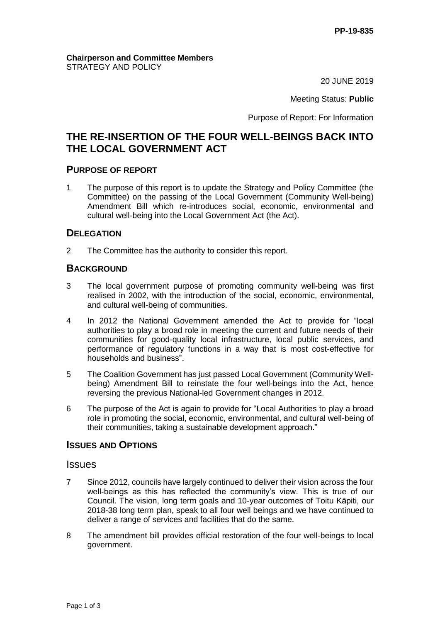#### **Chairperson and Committee Members** STRATEGY AND POLICY

20 JUNE 2019

Meeting Status: **Public**

Purpose of Report: For Information

# **THE RE-INSERTION OF THE FOUR WELL-BEINGS BACK INTO THE LOCAL GOVERNMENT ACT**

### **PURPOSE OF REPORT**

1 The purpose of this report is to update the Strategy and Policy Committee (the Committee) on the passing of the Local Government (Community Well-being) Amendment Bill which re-introduces social, economic, environmental and cultural well-being into the Local Government Act (the Act).

### **DELEGATION**

2 The Committee has the authority to consider this report.

## **BACKGROUND**

- 3 The local government purpose of promoting community well-being was first realised in 2002, with the introduction of the social, economic, environmental, and cultural well-being of communities.
- 4 In 2012 the National Government amended the Act to provide for "local authorities to play a broad role in meeting the current and future needs of their communities for good-quality local infrastructure, local public services, and performance of regulatory functions in a way that is most cost-effective for households and business".
- 5 The Coalition Government has just passed Local Government (Community Wellbeing) Amendment Bill to reinstate the four well-beings into the Act, hence reversing the previous National-led Government changes in 2012.
- 6 The purpose of the Act is again to provide for "Local Authorities to play a broad role in promoting the social, economic, environmental, and cultural well-being of their communities, taking a sustainable development approach."

### **ISSUES AND OPTIONS**

### **Issues**

- 7 Since 2012, councils have largely continued to deliver their vision across the four well-beings as this has reflected the community's view. This is true of our Council. The vision, long term goals and 10-year outcomes of Toitu Kāpiti, our 2018-38 long term plan, speak to all four well beings and we have continued to deliver a range of services and facilities that do the same.
- 8 The amendment bill provides official restoration of the four well-beings to local government.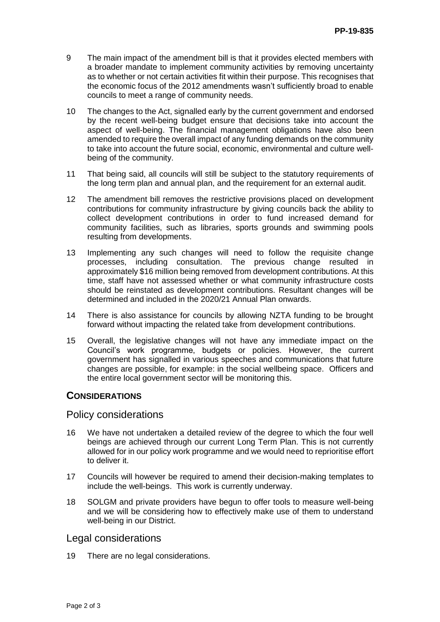- 9 The main impact of the amendment bill is that it provides elected members with a broader mandate to implement community activities by removing uncertainty as to whether or not certain activities fit within their purpose. This recognises that the economic focus of the 2012 amendments wasn't sufficiently broad to enable councils to meet a range of community needs.
- 10 The changes to the Act, signalled early by the current government and endorsed by the recent well-being budget ensure that decisions take into account the aspect of well-being. The financial management obligations have also been amended to require the overall impact of any funding demands on the community to take into account the future social, economic, environmental and culture wellbeing of the community.
- 11 That being said, all councils will still be subject to the statutory requirements of the long term plan and annual plan, and the requirement for an external audit.
- 12 The amendment bill removes the restrictive provisions placed on development contributions for community infrastructure by giving councils back the ability to collect development contributions in order to fund increased demand for community facilities, such as libraries, sports grounds and swimming pools resulting from developments.
- 13 Implementing any such changes will need to follow the requisite change processes, including consultation. The previous change resulted in approximately \$16 million being removed from development contributions. At this time, staff have not assessed whether or what community infrastructure costs should be reinstated as development contributions. Resultant changes will be determined and included in the 2020/21 Annual Plan onwards.
- 14 There is also assistance for councils by allowing NZTA funding to be brought forward without impacting the related take from development contributions.
- 15 Overall, the legislative changes will not have any immediate impact on the Council's work programme, budgets or policies. However, the current government has signalled in various speeches and communications that future changes are possible, for example: in the social wellbeing space. Officers and the entire local government sector will be monitoring this.

## **CONSIDERATIONS**

#### Policy considerations

- 16 We have not undertaken a detailed review of the degree to which the four well beings are achieved through our current Long Term Plan. This is not currently allowed for in our policy work programme and we would need to reprioritise effort to deliver it.
- 17 Councils will however be required to amend their decision-making templates to include the well-beings. This work is currently underway.
- 18 SOLGM and private providers have begun to offer tools to measure well-being and we will be considering how to effectively make use of them to understand well-being in our District.

### Legal considerations

19 There are no legal considerations.